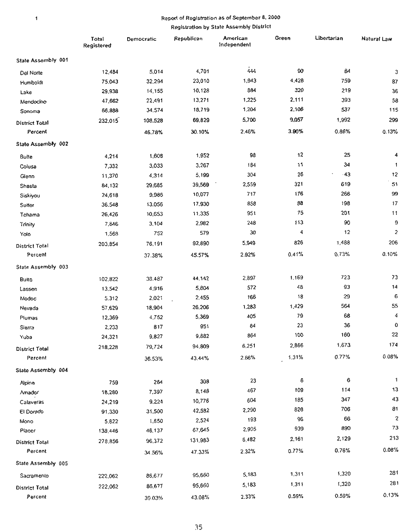#### $\mathbf 1$

# Report of Registration as of September 8. 2000

Registration by State Assembly District

|                       | Total<br>Registered | Democratic | Republican | American<br>Independent | Green | Libertarian | Natural Law    |
|-----------------------|---------------------|------------|------------|-------------------------|-------|-------------|----------------|
| State Assembly 001    |                     |            |            |                         |       |             |                |
| Del Norte             | 12,484              | 5,014      | 4,701      | 444                     | 90    | 84          | 3              |
| Humboldt              | 75,043              | 32,294     | 23,010     | 1,943                   | 4,428 | 759         | 87             |
| Lake                  | 29,938              | 14,155     | 10,128     | 884                     | 320   | 219         | 36             |
| Mendocino             | 47,662              | 22,491     | 13,271     | 1,225                   | 2,111 | 393         | 58             |
| Sonoma                | 66,888              | 34.574     | 18,719     | 1,204                   | 2,108 | 537         | 115            |
| <b>District Total</b> | 232,015             | 108,528    | 69,829     | 5,700                   | 9,057 | 1,992       | 299            |
| Percent               |                     | 46.78%     | 30.10%     | 2.46%                   | 3.90% | 0.86%       | 0.13%          |
| State Assembly 002    |                     |            |            |                         |       |             |                |
| <b>8⊔</b> te          | 4,214               | 1,608      | 1,952      | 98                      | 12    | 25          | 4              |
| Colusa                | 7,332               | 3,033      | 3,267      | 184                     | 11    | 34          | $\mathbf{1}$   |
| Glenn                 | 11,370              | 4,314      | 5,199      | 304                     | 26    | $-43$       | 12             |
| Shasta                | 84,132              | 29,685     | 39,569     | 2,559                   | 321   | 619         | 51             |
| Siskiyou              | 24,618              | 9,986      | 10,077     | 717                     | 176   | 266         | 99             |
| Sutter                | 36,548              | 13.056     | 17.930     | 858                     | 88    | 198         | 17             |
| Tehama                | 26,426              | 10,653     | 11.335     | 951                     | 75    | 201         | 11             |
| Trinity               | 7,646               | 3,104      | 2,982      | 248                     | 113   | 90          | 9              |
| Yolo                  | 1,568               | 752        | 579        | 30                      | 4     | 12          | $\overline{c}$ |
| <b>District Total</b> | 203,854             | 76,191     | 92,890     | 5,949                   | 826   | 1,488       | 206            |
| Percent               |                     | 37.38%     | 45.57%     | 2.92%                   | 0.41% | 0.73%       | 0.10%          |
| State Assembly 003    |                     |            |            |                         |       |             |                |
| <b>Butte</b>          | 102,822             | 38.487     | 44.142     | 2,897                   | 1,169 | 723         | 73             |
| Lassen                | 13,542              | 4,916      | 5,804      | 572                     | 48    | 93          | 14             |
| Modoc                 | 5.312               | 2,021      | 2,455      | 166                     | 18    | 29          | 6              |
| Nevada                | 57,629              | 18,904     | 26,206     | 1,283                   | 1,429 | 564         | 55             |
| Plumas                | 12,369              | 4,752      | 5,369      | 405                     | 79    | 68          | 4              |
| Sierra                | 2,233               | 817        | 951        | 64                      | 23    | 36          | 0              |
| Yuba                  | 24,321              | 9,827      | 9,882      | 864                     | 100   | 160         | 22             |
| District Total        | 218,228             | 79,724     | 94,809     | 6,251                   | 2,866 | 1,673       | 174            |
| Percent               |                     | 36.53%     | 43.44%     | 2.86%                   | 1,31% | 0.77%       | 0.08%          |
| State Assembly 004    |                     |            |            |                         |       |             |                |
| Alpine                | 759                 | 264        | 308        | 23                      | 6     | 6           | $\mathbf{1}$   |
| Amador                | 18,280              | 7,397      | 8,148      | 467                     | 109   | 114         | 13             |
| Calaveras             | 24,219              | 9,224      | 10,776     | 604                     | 185   | 347         | 43             |
| El Dorado             | 91,330              | 31,500     | 42,582     | 2,290                   | 826   | 706         | 81             |
| Mono                  | 5.822               | 1,850      | 2,524      | 193                     | 96    | 66          | 2              |
| Placer                | 138,446             | 46,137     | 67,645     | 2,905                   | 939   | 890         | 73             |
| District Total        | 278,856             | 96,372     | 131,983    | 6,482                   | 2,161 | 2,129       | 213            |
| Percent               |                     | 34.56%     | 47.33%     | 2.32%                   | 0.77% | 0.76%       | 0.08%          |
| State Assembly 005    |                     |            |            |                         |       |             |                |
| Sacramento            | 222,062             | 86,677     | 95,660     | 5,183                   | 1,311 | 1,320       | 281            |
| <b>District Total</b> | 222,062             | 86,677     | 95,660     | 5,183                   | 1,311 | 1,320       | 281            |
| Percent               |                     | 39.03%     | 43.08%     | 2.33%                   | 0.59% | 0.59%       | 0.13%          |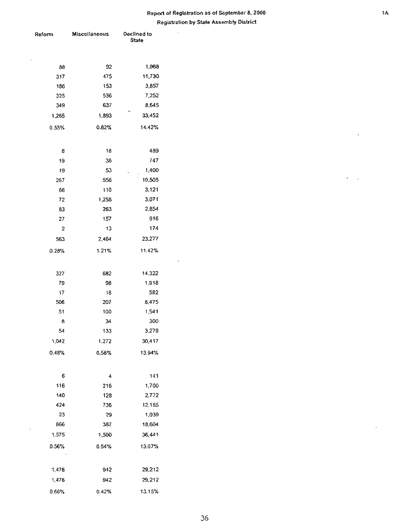$\mathcal{L}$ 

| Reform | <b>Miscellaneous</b> | Declined to<br><b>State</b> |  |  |
|--------|----------------------|-----------------------------|--|--|
|        |                      |                             |  |  |
|        |                      |                             |  |  |
| 88     | 92                   | 1,968                       |  |  |
| 317    | 475                  | 11,730                      |  |  |
| 186    | 153                  | 3,857                       |  |  |
| 325    | 536                  | 7,252                       |  |  |
| 349    | 637                  | 8,645                       |  |  |
| 1,265  | 1,893                | 33,452                      |  |  |
| 0.55%  | 0.82%                | 14.42%                      |  |  |
|        |                      |                             |  |  |
| 8      | 18                   | 489                         |  |  |
| 19     | 36                   | 747                         |  |  |
| 19     | 53                   | 1,400                       |  |  |
| 267    | 556                  | 10,505                      |  |  |
| 66     | 110                  | 3,121                       |  |  |
| 72     | 1,258                | 3,071                       |  |  |
| 83     | 263                  | 2,854                       |  |  |
| 27     | 157                  | 916                         |  |  |
| 2      | 13                   | 174                         |  |  |
| 563    | 2,464                | 23,277                      |  |  |
| 0.28%  | 1.21%                | 11.42%                      |  |  |
|        |                      |                             |  |  |
| 327    | 682                  | 14,322                      |  |  |
| 79     | 98                   | 1,918                       |  |  |
| 17     | 18                   | 582                         |  |  |
| 506    | 207                  | 8.475                       |  |  |
| 51     | 100                  | 1,541                       |  |  |
| 8      | 34                   | 300                         |  |  |
| 54     | 133                  | 3,279                       |  |  |
| 1,042  | 1,272                | 30,417                      |  |  |
| 0.48%  | 0.58%                | 13.94%                      |  |  |
|        |                      |                             |  |  |
| 6      | 4                    | 141                         |  |  |
| 116    | 216                  | 1,700                       |  |  |
| 140    | 128                  | 2,772                       |  |  |
| 424    | 736                  | 12,185                      |  |  |
| 23     | 29                   | 1,039                       |  |  |
| 866    | 387                  | 18,604                      |  |  |
| 1,575  | 1,500                | 36,441                      |  |  |
| 0.56%  | 0.54%                | 13.07%                      |  |  |
|        |                      |                             |  |  |
|        |                      |                             |  |  |
| 1,476  | 942                  | 29,212                      |  |  |
| 1,476  | 942                  | 29,212                      |  |  |
| 0.66%  | 0.42%                | 13.15%                      |  |  |

 $\hat{\mathbf{r}}$ 

 $\epsilon_{\rm{max}}$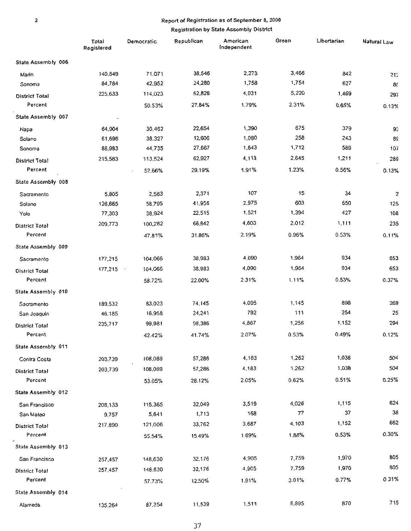#### Registration by State Assembly District

|                       | Total<br>Registered | Democratic | Republican | American<br>Independent | Green | Libertarian | Natural Law      |
|-----------------------|---------------------|------------|------------|-------------------------|-------|-------------|------------------|
| State Assembly 006    |                     |            |            |                         |       |             |                  |
| Marin                 | 140,849             | 71.071     | 38,546     | 2,273                   | 3,466 | 842         | 212              |
| Sonoma                | 84,784              | 42,952     | 24,280     | 1,758                   | 1,754 | 627         | 8 <sup>t</sup>   |
| District Total        | 225,633             | 114,023    | 62,826     | 4,031                   | 5,220 | 1,469       | 297              |
| Percent               |                     | 50.53%     | 27.84%     | 1.79%                   | 2.31% | 0.65%       | 0.13%            |
| State Assembly 007    |                     |            |            |                         |       |             |                  |
| Napa                  | 64,904              | 30,462     | 22,654     | 1,390                   | 675   | 379         | 93               |
| Solano                | 61,696              | 38,327     | 12,606     | 1,080                   | 258   | 243         | 89               |
| Sonoma                | 88,983              | 44,735     | 27,667     | 1,643                   | 1,712 | 589         | 107              |
| District Total        | 215,583             | 113,524    | 62,927     | 4,113                   | 2,645 | 1,211       | 289              |
| Percent               |                     | 52.66%     | 29.19%     | 1.91%                   | 1.23% | 0.56%       | 0.13%            |
| State Assembly 008    |                     |            |            |                         |       |             |                  |
| Sacramento            | 5,805               | 2,563      | 2,371      | 107                     | 15    | 34          | $\boldsymbol{z}$ |
| Solano                | 126,665             | 58,795     | 41,956     | 2,975                   | 603   | 650         | 125              |
| Yolo                  | 77,303              | 38,924     | 22,515     | 1,521                   | 1,394 | 427         | 108              |
| <b>District Total</b> | 209,773             | 100,282    | 66,842     | 4,603                   | 2.012 | 1,111       | 235              |
| Percent               |                     | 47.81%     | 31.86%     | 2.19%                   | 0.96% | 0.53%       | 0.11%            |
| State Assembly 009    |                     |            |            |                         |       |             |                  |
| Sacramento            | 177,215             | 104,066    | 38,983     | 4,090                   | 1,964 | 934         | 653              |
| <b>District Total</b> | 177,215             | 104,066    | 38,983     | 4,090                   | 1,964 | 934         | 653              |
| Percent               |                     | 58.72%     | 22.00%     | 2.31%                   | 1.11% | 0.53%       | 0.37%            |
| State Assembly 010    |                     |            |            |                         |       |             |                  |
| Sacramento            | 189,532             | 83,023     | 74,145     | 4,095                   | 1,145 | 898         | 269              |
| San Joaquin           | 46,185              | 16,958     | 24,241     | 792                     | 111   | 254         | 25               |
| <b>District Total</b> | 235,717             | 99,981     | 98,386     | 4,887                   | 1,256 | 1.152       | 294              |
| Percent               |                     | 42.42%     | 41.74%     | 2.07%                   | 0.53% | 0.49%       | 0.12%            |
| State Assembly 011    |                     |            |            |                         |       |             |                  |
| Contra Costa          | 203,739             | 108,089    | 57,286     | 4,183                   | 1,262 | 1,038       | 504              |
| District Total        | 203,739             | 108,089    | 57,286     | 4,183                   | 1.262 | 1,038       | 504              |
| Percent               |                     | 53.05%     | 28.12%     | 2.05%                   | 0.62% | 0.51%       | 0.25%            |
| State Assembly 012    |                     |            |            |                         |       |             |                  |
| San Francisco         | 208,133             | 115,365    | 32,049     | 3,519                   | 4,026 | 1,115       | 624              |
| San Mateo             | 9,757               | 5,641      | 1,713      | 168                     | 77    | 37          | 38               |
| District Total        | 217,890             | 121,006    | 33,762     | 3,687                   | 4,103 | 1,152       | 662              |
| Percent               |                     | 55.54%     | 15.49%     | 1.69%                   | 1,88% | 0.53%       | 0.30%            |
| State Assembly 013    |                     |            |            |                         |       |             |                  |
| San Francisco         | 257,457             | 148,630    | 32,176     | 4,905                   | 7,759 | 1,970       | 805              |
| <b>District Total</b> | 257,457             | 148,630    | 32,176     | 4,905                   | 7,759 | 1,970       | 805              |
| Percent               |                     | 57.73%     | 12.50%     | 1.91%                   | 3.01% | 0.77%       | 031%             |
| State Assembly 014    |                     |            |            |                         |       |             |                  |
| Alameda               | 135,264             | 87,254     | 11,539     | 1,511                   | 6,895 | 870         | 715              |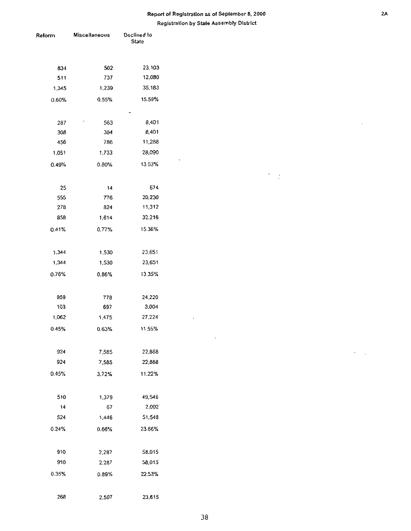| Reform | Miscellaneous | Declined to<br><b>State</b> |  |  |
|--------|---------------|-----------------------------|--|--|
|        |               |                             |  |  |
| 834    | 502           | 23,103                      |  |  |
| 511    | 737           | 12,080                      |  |  |
| 1,345  | 1,239         | 35,183                      |  |  |
| 0.60%  | 0.55%         | 15.59%                      |  |  |
|        |               |                             |  |  |
| 287    | 563           | 8,401                       |  |  |
| 308    | 384           | 8,401                       |  |  |
| 456    | 786           | 11,288                      |  |  |
| 1,051  | 1,733         | 28,090                      |  |  |
| 0.49%  | 0.80%         | 13.03%                      |  |  |
|        |               |                             |  |  |
| 25     | 14            | 674                         |  |  |
| 555    | 776           | 20,230                      |  |  |
| 278    | 824           | 11,312                      |  |  |
| 858    | 1,614         | 32,216                      |  |  |
| 0.41%  | 0.77%         | 15.36%                      |  |  |
|        |               |                             |  |  |
| 1,344  | 1,530         | 23,651                      |  |  |
| 1,344  | 1,530         | 23,651                      |  |  |
| 0.76%  | 0.86%         | 13.35%                      |  |  |
|        |               |                             |  |  |
| 959    | 778           | 24,220                      |  |  |
| 103    | 697           | 3,004                       |  |  |
| 1,062  | 1,475         | 27.224                      |  |  |
| 0.45%  | 0.63%         | 11.55%                      |  |  |
| 924    | 7,585         | 22,868                      |  |  |
| 924    | 7,585         | 22,868                      |  |  |
| 0.45%  | 3.72%         | 11.22%                      |  |  |
|        |               |                             |  |  |
| 510    | 1,379         | 49,546                      |  |  |
| 14     | 67            | 2,002                       |  |  |
| 524    | 1,446         | 51,548                      |  |  |
| 0.24%  | 0.66%         | 23.66%                      |  |  |
|        |               |                             |  |  |
| 910    | 2,287         | 58,015                      |  |  |
| 910    | 2,287         | 58,015                      |  |  |
| 0.35%  | 0.89%         | 22.53%                      |  |  |
|        |               |                             |  |  |
| 268    | 2.597         | 23.615                      |  |  |

 $\overline{\phantom{a}}$ 

 $\frac{1}{2}$ 

 $\ddot{\phantom{a}}$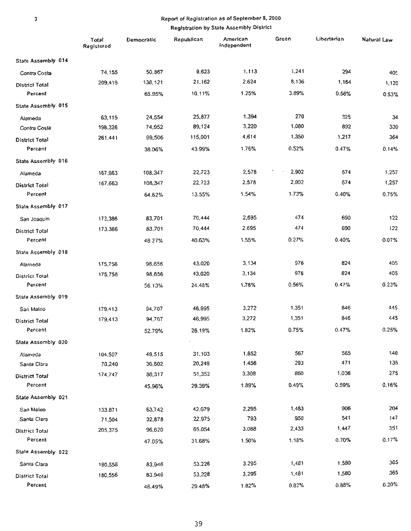|                       | Total<br>Registered | Democratic | Republican | American<br>Independent | Green | Libertarian | Natural Law |
|-----------------------|---------------------|------------|------------|-------------------------|-------|-------------|-------------|
| State Assembly 014    |                     |            |            |                         |       |             |             |
| Contra Costa          | 74,155              | 50,867     | 9,623      | 1, 113                  | 1,241 | 294         | 405         |
| District Total        | 209,419             | 138,121    | 21,162     | 2,624                   | 8,136 | 1,164       | 1,120       |
| Percent               |                     | 65.95%     | 10.11%     | 1.25%                   | 3.89% | 0.56%       | 0.53%       |
| State Assembly 015    |                     |            |            |                         |       |             |             |
| Alameda               | 63,115              | 24,554     | 25,877     | 1,394                   | 270   | 325         | 34          |
| Contra Costa          | 198,326             | 74,952     | 89,124     | 3,220                   | 1,080 | 892         | 330         |
| District Total        | 261,441             | 99,506     | 115,001    | 4,614                   | 1,350 | 1.217       | 364         |
| Percent               |                     | 38.06%     | 43.99%     | 1.76%                   | 0.52% | 0.47%       | 0.14%       |
| State Assembly 016    |                     |            |            |                         |       |             |             |
| Alameda               | 167,663             | 108,347    | 22,723     | 2,578                   | 2,902 | 674         | 1,257       |
| District Total        | 167,663             | 108,347    | 22,723     | 2,578                   | 2,902 | 674         | 1,257       |
| Percent               |                     | 64.62%     | 13.55%     | 1.54%                   | 1.73% | 0.40%       | 0.75%       |
| State Assembly 017    |                     |            |            |                         |       |             |             |
| San Joaquin           | 173,386             | 83,701     | 70,444     | 2,695                   | 474   | 690         | 122         |
| <b>District Total</b> | 173.386             | 83,701     | 70,444     | 2.695                   | 474   | 690         | 122         |
| Percent               |                     | 48.27%     | 40.63%     | 1.55%                   | 0.27% | 0.40%       | 0.07%       |
| State Assembly 018    |                     |            |            |                         |       |             |             |
| Alameda               | 175,756             | 98,656     | 43,020     | 3,134                   | 976   | 824         | 405         |
| <b>District Total</b> | 175,756             | 98,656     | 43,020     | 3.134                   | 976   | 824         | 405         |
| Percent               |                     | 56.13%     | 24.48%     | 1.78%                   | 0.56% | 0.47%       | 0.23%       |
| State Assambly 019    |                     |            |            |                         |       |             |             |
| San Maleo             | 179,413             | 94,707     | 46,995     | 3,272                   | 1,351 | 846         | 445         |
| District Total        | 179,413             | 94,707     | 46,995     | 3,272                   | 1,351 | 846         | 445         |
| Percent               |                     | 52.79%     | 26.19%     | 1.82%                   | 0.75% | 0.47%       | 0.25%       |
| State Assembly 020    |                     |            | $\epsilon$ |                         |       |             |             |
| Alameda               | 104,507             | 49,515     | 31,103     | 1,852                   | 567   | 565         | 140         |
| Santa Clara           | 70,240              | 30,802     | 20,249     | 1,456                   | 293   | 471         | 135         |
| <b>District Total</b> | 174,747             | 80,317     | 51,352     | 3,308                   | 860   | 1,036       | 275         |
| Percent               |                     | 45.96%     | 29.39%     | 1.89%                   | 0.49% | 0.59%       | 0.16%       |
| State Assembly 021    |                     |            |            |                         |       |             |             |
| San Maleo             | 133,871             | 63,742     | 42,079     | 2,295                   | 1,483 | 906         | 204         |
| Santa Clara           | 71,504              | 32,878     | 22,975     | 793                     | 950   | 541         | 147         |
| <b>District Total</b> | 205,375             | 96,620     | 65,054     | 3,088                   | 2,433 | 1,447       | 351         |
| Percent               |                     | 47.05%     | 31.68%     | 1.50%                   | 1.18% | 0.70%       | 0.17%       |
| State Assembly 022    |                     |            |            |                         |       |             |             |
| Santa Clara           | 180,556             | 83,946     | 53,228     | 3.295                   | 1,481 | 1.580       | 365         |
| <b>District Total</b> | 180,556             | 83,946     | 53,228     | 3,295                   | 1,481 | 1,580       | 365         |
| Percent               |                     | 46.49%     | 29.48%     | 1.82%                   | 0.82% | 0.88%       | 0.20%       |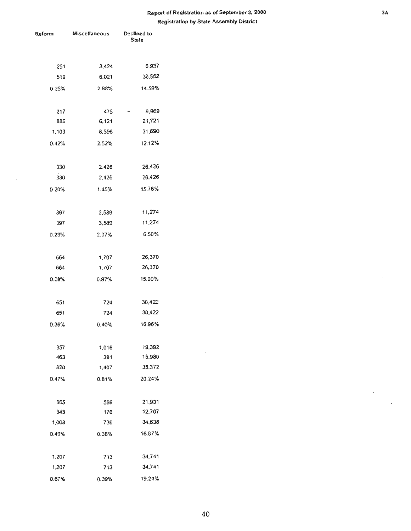| Reform | Miscellaneous | Declined to<br><b>State</b> |  |  |
|--------|---------------|-----------------------------|--|--|
|        |               |                             |  |  |
| 251    | 3,424         | 6,937                       |  |  |
| 519    | 6.021         | 30,552                      |  |  |
| 0.25%  | 2.88%         | 14.59%                      |  |  |
|        |               |                             |  |  |
| 217    | 475           | 9,969                       |  |  |
| 886    | 6,121         | 21,721                      |  |  |
| 1,103  | 6,596         | 31,690                      |  |  |
| 0.42%  | 2.52%         | 12.12%                      |  |  |
| 330    | 2.426         | 26,426                      |  |  |
| 330    | 2,426         | 26,426                      |  |  |
| 0.20%  | 1.45%         | 15.76%                      |  |  |
|        |               |                             |  |  |
| 397    | 3,589         | 11,274                      |  |  |
| 397    | 3,589         | 11,274                      |  |  |
| 0.23%  | 2.07%         | 6.50%                       |  |  |
| 664    | 1,707         | 26,370                      |  |  |
| 664    | 1,707         | 26,370                      |  |  |
| 0.38%  | 0.97%         | 15.00%                      |  |  |
| 651    | 724           | 30,422                      |  |  |
| 651    | 724           | 30,422                      |  |  |
|        |               |                             |  |  |
| 0.36%  | 0.40%         | 16.96%                      |  |  |
| 357    | 1.016         | 19,392                      |  |  |
| 463    | 391           | 15,980                      |  |  |
| 820    | 1,407         | 35,372                      |  |  |
| 0.47%  | 0.81%         | 20.24%                      |  |  |
| 665    | 566           | 21,931                      |  |  |
| 343    | 170           | 12,707                      |  |  |
| 1,008  | 736           | 34,638                      |  |  |
| 0.49%  | 0.36%         | 16,87%                      |  |  |
|        |               |                             |  |  |
| 1,207  | 713           | 34,741                      |  |  |
| 1,207  | 713           | 34,741                      |  |  |
| 0.67%  | 0.39%         | 19.24%                      |  |  |

 $\bar{z}$ 

 $\bar{z}$ 

 $\bar{z}$ 

l,

 $\bar{z}$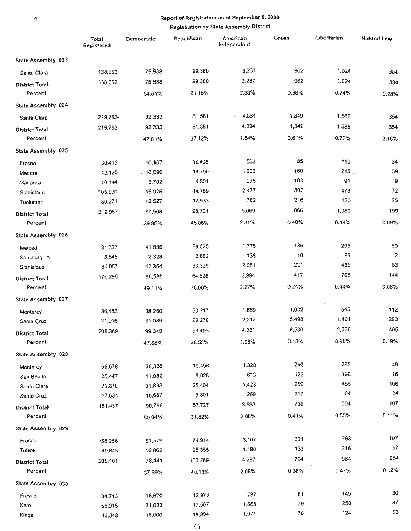|                       | Total<br>Registered | Democratic | Republican | American<br>Independent | Green | Libertarian | Natural Law    |
|-----------------------|---------------------|------------|------------|-------------------------|-------|-------------|----------------|
| State Assembly 023    |                     |            |            |                         |       |             |                |
| Santa Clara           | 138,862             | 75,838     | 29,380     | 3,237                   | 962   | 1,024       | 384            |
| District Total        | 138,862             | 75,838     | 29,380     | 3,237                   | 962   | 1,024       | 384            |
| Percent               |                     | 54.61%     | 21.16%     | 2.33%                   | 0.69% | 0.74%       | 0.28%          |
| State Assembly 024    |                     |            |            |                         |       |             |                |
| Santa Clara           | 219,763             | 92,333     | 81,581     | 4,034                   | 1,349 | 1,586       | 354            |
| <b>District Total</b> | 219,763             | 92,333     | 81,581     | 4,034                   | 1,349 | 1,586       | 354            |
| Percent               |                     | 42.01%     | 37.12%     | 1.84%                   | 0.61% | 0.72%       | 0.16%          |
| State Assembly 025    |                     |            |            |                         |       |             |                |
| Fresno                | 30,412              | 10,107     | 16,408     | 533                     | 85    | 116         | 34             |
| Madera                | 42,120              | .16,096    | 19,790     | 1,002                   | 160   | 215.        | 59             |
| Mariposa              | 10,444              | 3,702      | 4,801      | 275                     | 103   | 91          | 9              |
| Stanislaus            | 105,820             | 45,076     | 44,769     | 2,477                   | 302   | 478         | 72             |
| Tuolumne              | 30,271              | 12,527     | 12,933     | 782                     | 216   | 180         | 25             |
| <b>District Total</b> | 219,067             | 87,508     | 98,701     | 5,069                   | 866   | 1,080       | 199            |
| Percent               |                     | 39.95%     | 45.06%     | 2.31%                   | 0.40% | 0.49%       | 0.09%          |
| State Assembly 026    |                     |            |            |                         |       |             |                |
| Merced                | 81,397              | 41.895     | 28,525     | 1,775                   | 186   | 293         | 59             |
| San Joaquin           | 5,845               | 2,328      | 2,662      | 138                     | 10    | 39          | $\overline{2}$ |
| Stanislaus            | 89,057              | 42.364     | 33,339     | 2,081                   | 221   | 436         | 83             |
| District Total        | 176,299             | 86,588     | 64,526     | 3,994                   | 417   | 768         | 144            |
| Percent               |                     | 49.11%     | 36,60%     | 2.27%                   | 0.24% | 0.44%       | 0.08%          |
| State Assembly 027    |                     |            |            |                         |       |             |                |
| Monterey              | 86,453              | 38,260     | 30,217     | 1,869                   | 1.032 | 545         | 112            |
| Santa Cruz            | 121,916             | 61,089     | 29,278     | 2,212                   | 5,498 | 1,491       | 293            |
| <b>District Total</b> | 208,369             | 99,349     | 59,495     | 4,081                   | 6,530 | 2.036       | 405            |
| Percent               |                     | 47.68%     | 28.55%     | 1.96%                   | 3.13% | 0.98%       | 0.19%          |
| State Assembly 028    |                     |            |            |                         |       |             |                |
| Monierey              | 66,678              | 36,336     | 19,496     | 1.328                   | 240   | 285         | 49             |
| San Benito            | 25,447              | 11,882     | 9,026      | 613                     | 122   | 190         | 16             |
| Santa Clara           | 71,678              | 31,893     | 25,404     | 1,423                   | 259   | 455         | 108            |
| Santa Cruz            | 17,634              | 10,687     | 3,801      | 269                     | 117   | 64          | 24             |
| District Total        | 181,437             | 90,798     | 57,727     | 3,633                   | 738   | 994         | 197            |
| Percent               |                     | 50.04%     | 31.82%     | 2.00%                   | 0.41% | 0.55%       | 0.11%          |
| State Assembly 029    |                     |            |            |                         |       |             |                |
| Fresno                | 158,256             | 61,579     | 74,914     | 3,107                   | 631   | 768         | 187            |
| Tulare                | 49,845              | 16,862     | 25,355     | 1,190                   | 163   | 216         | 67             |
| <b>District Total</b> | 208,101             | 78,441     | 100,269    | 4,297                   | 794   | 984         | 254            |
| Percent               |                     | 37.69%     | 48.18%     | 2.06%                   | 0.38% | 0.47%       | 0.12%          |
| State Assembly 030    |                     |            |            |                         |       |             |                |
| Fresno                | 34,713              | 16,670     | 12,973     | 787                     | 81    | 149         | $30$           |
| Kem                   | 56,915              | 31,033     | 17,507     | 1,665                   | 79    | 250         | ${\bf 87}$     |
| Kings                 | 43,348              | 18,000     | 18,894     | 1,071                   | 76    | 124         | 63             |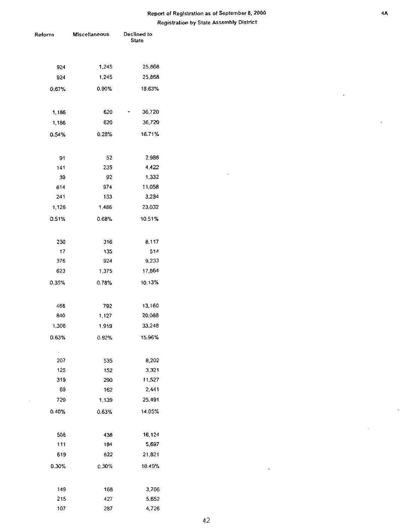$\overline{\phantom{a}}$ 

| ≀eform          | <b>Miscellaneous</b> | Declined to<br><b>State</b> |  |  |
|-----------------|----------------------|-----------------------------|--|--|
|                 |                      |                             |  |  |
| 924             | 1,245                | 25,868                      |  |  |
| 924             | 1.245                | 25,868                      |  |  |
| 0.67%           | 0.90%                | 18.63%                      |  |  |
| 1,186           | 620                  | 36,720                      |  |  |
| 1,186           | 620                  | 36,720                      |  |  |
| 0.54%           | 0.28%                | 16.71%                      |  |  |
| 91              | 52                   | 2.986                       |  |  |
| 141             | 235                  | 4,422                       |  |  |
| 39              | 92                   | 1,332                       |  |  |
| 614             | 974                  | 11,058                      |  |  |
| 241             | 133                  | 3,234                       |  |  |
| 1,126           | 1,486                | 23,032                      |  |  |
| 0.51%           | 0.68%                | 10.51%                      |  |  |
| 230             | 316                  | 8.117                       |  |  |
| 17              | 135                  | 514                         |  |  |
| 376             | 924                  | 9,233                       |  |  |
| 623             | 1,375                | 17,864                      |  |  |
| 0.35%           | 0.78%                | 10.13%                      |  |  |
| 466             | 792                  | 13,160                      |  |  |
| 840             | 1,127                | 20,088                      |  |  |
| 1,306           | 1,919                | 33,248                      |  |  |
| 0.63%           | 0.92%                | 15.96%                      |  |  |
| 207             | 535                  | 8,202                       |  |  |
| 125             | 152                  | 3,321                       |  |  |
| 319             | 290                  | 11,527                      |  |  |
| 69              | 162                  | 2,441                       |  |  |
| 720             | 1,139                | 25.491                      |  |  |
| 0.40%           | 0.63%                | 14.05%                      |  |  |
| 508             | 438                  | 16,124                      |  |  |
| 111             | 184                  | 5,697                       |  |  |
| 619             | 622                  | 21,821                      |  |  |
| $0.30\%$        | 0.30%                | 10.49%                      |  |  |
| 149             | 168                  | 3,706                       |  |  |
| 215             | 427                  | 5,652                       |  |  |
| 1 <sub>07</sub> | 287                  | 4.726                       |  |  |

 $\overline{a}$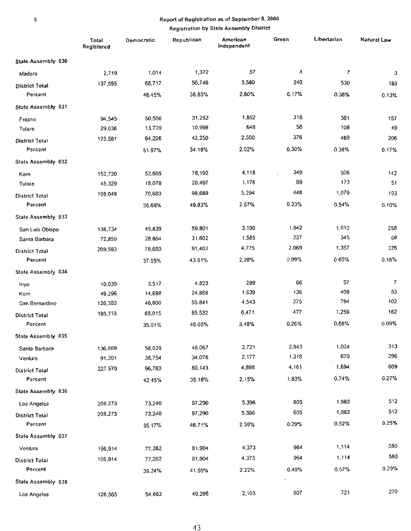## **Registration by State Assembly District**

 $\cdot$ 

|                       | Total<br>Registered | Democratic | Republican | American<br>Independent | Green | Libertarian    | Natural Law    |
|-----------------------|---------------------|------------|------------|-------------------------|-------|----------------|----------------|
| State Assembly 030    |                     |            |            |                         |       |                |                |
| Madera                | 2,719               | 1,014      | 1,372      | 57                      | 4     | $\overline{7}$ | 3              |
| District Total        | 137,695             | 66,717     | 50,746     | 3,580                   | 240   | 530            | 183            |
| Percent               |                     | 48.45%     | 36.85%     | 2.60%                   | 0.17% | 0.38%          | 0.13%          |
| State Assembly 031    |                     |            |            |                         |       |                |                |
| Fresno                | 94,545              | 50,506     | 31,252     | 1,852                   | 318   | 361            | 157            |
| Tufare                | 29,036              | 13,720     | 10,998     | 648                     | 58    | 108            | 49             |
| District Total        | 123,581             | 64,226     | 42,250     | 2,500                   | 376   | 469            | 206            |
| Percent               |                     | 51.97%     | 34.19%     | 2.02%                   | 0.30% | 0.38%          | 0.17%          |
| State Assembly 032    |                     |            |            |                         |       |                |                |
| Kem                   | 152,720             | 52,605     | 78,192     | 4,118                   | 349   | 906            | 142            |
| Tulare                | 45,329              | 18,078     | 20,497     | 1,176                   | 99    | 173            | 51             |
| District Total        | 198,049             | 70,683     | 98,689     | 5,294                   | 448   | 1,079          | 193            |
| Percent               |                     | 35.69%     | 49.83%     | 2.67%                   | 0.23% | 0.54%          | 0.10%          |
| State Assembly 033    |                     |            |            |                         |       |                |                |
| San Luis Obispo       | 136,734             | 49,839     | 59,801     | 3,190                   | 1,842 | 1,012          | 258            |
| Santa Barbara         | 72,859              | 28,854     | 31,602     | 1,585                   | 227   | 345            | 68             |
| <b>District Total</b> | 209,593             | 78,693     | 91,403     | 4,775                   | 2,069 | 1,357          | 326            |
| Percent               |                     | 37.55%     | 43.61%     | 2.28%                   | 0.99% | 0.65%          | 0.16%          |
| State Assembly 034    |                     |            |            |                         |       |                |                |
| Inyo                  | 10,039              | 3.517      | 4,823      | 289                     | 66    | 57             | $\overline{7}$ |
| Kem                   | 49.296              | 14,698     | 24,868     | 1,639                   | 136   | 408            | 53             |
| San Bernardino        | 126,383             | 46,800     | 55,841     | 4,543                   | 275   | 794            | 102            |
| District Total        | 185,718             | 65,015     | 85,532     | 6,471                   | 477   | 1,259          | 162            |
| Percent               |                     | 35.01%     | 46.05%     | 3.48%                   | 0.26% | 0.68%          | 0.09%          |
| State Assembly 035    |                     |            |            |                         |       |                |                |
| Santa Barbara         | 136,669             | 58,029     | 46,067     | 2,721                   | 2,843 | 1,024          | 313            |
| Ventura               | 91,301              | 38,754     | 34,076     | 2,177                   | 1,318 | 670            | 296            |
| <b>District Total</b> | 227,970             | 96,783     | 80,143     | 4,898                   | 4,161 | 1,694          | 609            |
| Percent               |                     | 42.45%     | 35.16%     | 2.15%                   | 1.83% | 0.74%          | 0.27%          |
| State Assembly 036    |                     |            |            |                         |       |                |                |
| Los Angeles           | 208,273             | 73,240     | 97,290     | 5,396                   | 605   | 1,083          | 512            |
| District Total        | 208,273             | 73,240     | 97,290     | 5,396                   | 605   | 1,083          | 512            |
| Percent               |                     | 35.17%     | 46.71%     | 2.59%                   | 0.29% | 0.52%          | 0.25%          |
| State Assembly 037    |                     |            |            |                         |       |                |                |
| Ventura               | 196,914             | 77,262     | 81.904     | 4,373                   | 964   | 1,114          | 580            |
| <b>District Total</b> | 196,914             | 77,262     | 81,904     | 4,373                   | 964   | 1,114          | 580            |
| Percent               |                     | 39.24%     | 41.59%     | 2.22%                   | 0.49% | 0.57%          | 0.29%          |
| State Assembly 038    |                     |            |            |                         |       |                |                |
| Los Angeles           | 126,565             | 54,663     | 49,266     | 2,103                   | 607   | 721            | 270            |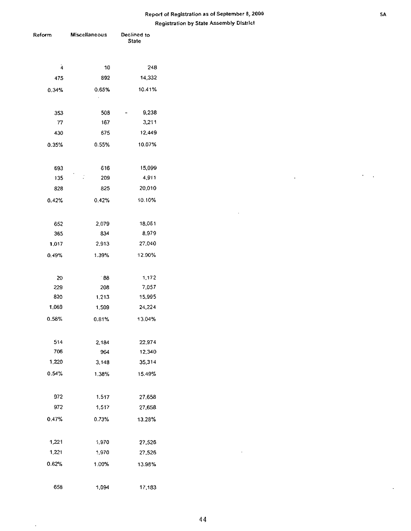| Reform       | <b>Miscellaneous</b>  | Declined to<br>State |
|--------------|-----------------------|----------------------|
| $\mathbf{A}$ | $10\,$                | 248                  |
| 475          | 892                   | 14,332               |
| 0.34%        | 0.65%                 | 10.41%               |
|              | $\cdot$               |                      |
| 353          | 508                   | 9,238<br>-           |
| ${\bf 77}$   | 167                   | 3,211                |
| 430          | 675                   | 12,449               |
| 0.35%        | 0.55%                 | 10.07%               |
| 693          | 616                   | 15,099               |
| 135          | $\ddot{\cdot}$<br>209 | 4,911                |
| 828          | 825                   | 20,010               |
| 0.42%        | 0.42%                 | 10.10%               |
| 652          | 2,079                 | 18,061               |
| 365          | 834                   | 8,979                |
| 1,017        | 2,913                 | 27,040               |
| 0.49%        | 1.39%                 | 12.90%               |
| $20\,$       | $^{\circ}88$          | 1,172                |
| 229          | 208                   | 7,057                |
| 820          | 1,213                 | 15,995               |
| 1,069        | 1,509                 | 24,224               |
| 0.58%        | 0.81%                 | 13.04%               |
| 514          | 2,184                 | 22,974               |
| 706          | 964                   | 12,340               |
| 1,220        | 3,148                 | 35,314               |
| 0.54%        | 1.38%                 | 15.49%               |
| 972          | 1,517                 | 27,658               |
| 972          | 1,517                 | 27,658               |
| 0.47%        | 0.73%                 | 13.28%               |
| 1,221        | 1,970                 | 27,526               |
| 1,221        | 1,970                 | 27,526               |
| 0.62%        | 1.00%                 | 13.98%               |
| 658          | 1,094                 | 17,183               |
|              |                       |                      |

l,

 $\bar{\phantom{a}}$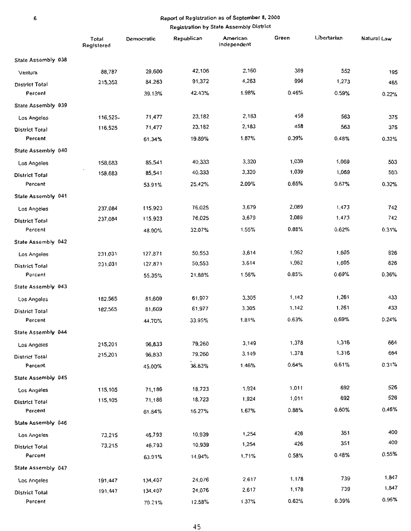|                       | Total<br>Registered | Democratic | Republican | American<br>Independent | Green | Libertarian | Natural Law |
|-----------------------|---------------------|------------|------------|-------------------------|-------|-------------|-------------|
| State Assembly 038    |                     |            |            |                         |       |             |             |
| Ventura               | 88,787              | 29,600     | 42,106     | 2,160                   | 389   | 552         | 195         |
| District Total        | 215,352             | 84,263     | 91,372     | 4,263                   | 996   | 1,273       | 465         |
| Percent               |                     | 39.13%     | 42.43%     | 1.98%                   | 0.46% | 0.59%       | 0.22%       |
| State Assembly 039    |                     |            |            |                         |       |             |             |
| Los Angeles           | 116,525-            | 71,477     | 23,182     | 2,183                   | 458   | 563         | 375         |
| District Total        | 116,525             | 71,477     | 23,182     | 2,183                   | 45B   | 563         | 375         |
| Percent               |                     | 61.34%     | 19.89%     | 1.87%                   | 0.39% | 0.48%       | 0.32%       |
| State Assembly 040    |                     |            |            |                         |       |             |             |
| Los Angeles           | 158,683             | 85,541     | 40,333     | 3,320                   | 1,039 | 1,069       | 503         |
| <b>District Total</b> | 158,683             | 85,541     | 40,333     | 3,320                   | 1,039 | 1,069       | 503         |
| Percent               |                     | 53.91%     | 25.42%     | 2.09%                   | 0.65% | 0.67%       | 0.32%       |
| State Assembly 041    |                     |            |            |                         |       |             |             |
| Los Angeles           | 237,084             | 115,923    | 76,025     | 3,679                   | 2,089 | 1.473       | 742         |
| <b>District Total</b> | 237,084             | 115.923    | 76,025     | 3,679                   | 2,089 | 1,473       | 742         |
| Percent               |                     | 48.90%     | 32.07%     | 1.55%                   | 0.88% | 0.62%       | 0.31%       |
| State Assembly 042    |                     |            |            |                         |       |             |             |
| Los Angeles           | 231.031             | 127,871    | 50,553     | 3,614                   | 1,962 | 1,605       | 826         |
| <b>District Total</b> | 231.031             | 127,871    | 50,553     | 3.614                   | 1,962 | 1,605       | 826         |
| Percent               |                     | 55.35%     | 21.88%     | 1.56%                   | 0.85% | 0.69%       | 0.36%       |
| State Assembly 043    |                     |            |            |                         |       |             |             |
| Los Angeles           | 182,565             | 81,609     | 61,977     | 3,305                   | 1,142 | 1,261       | 433         |
| District Total        | 182,565             | 81,609     | 61,977     | 3,305                   | 1,142 | 1,261       | 433         |
| Percent               |                     | 44.70%     | 33.95%     | 1.81%                   | 0.63% | 0.69%       | 0.24%       |
| State Assembly 044    |                     |            |            |                         |       |             |             |
| Los Angeles           | 215,201             | 96,833     | 79,260     | 3,149                   | 1,378 | 1,316       | 664         |
| <b>District Total</b> | 215,201             | 96,833     | 79,260     | 3,149                   | 1,378 | 1,316       | 664         |
| Percent               |                     | 45.00%     | 36.83%     | 1.46%                   | 0.64% | 0.61%       | 0.31%       |
| State Assembly 045    |                     |            |            |                         |       |             |             |
| Los Angeles           | 115,105             | 71,186     | 18,723     | 1,924                   | 1,011 | 692         | 526         |
| <b>District Total</b> | 115,105             | 71,186     | 18,723     | 1,924                   | 1,011 | 692         | 526         |
| Percent               |                     | 61.84%     | 16.27%     | 1.67%                   | 0.88% | 0.60%       | 0.46%       |
| State Assembly 046    |                     |            |            |                         |       |             |             |
| Los Angeles           | 73,215              | 46,793     | 10,939     | 1,254                   | 426   | 351         | 400         |
| District Total        | 73,215              | 46,793     | 10,939     | 1,254                   | 426   | 351         | 400         |
| Percent               |                     | 63.91%     | 14.94%     | 1.71%                   | 0.58% | 0.48%       | 0.55%       |
| State Assembly 047    |                     |            |            |                         |       |             |             |
| Los Angeles           | 191,447             | 134,407    | 24,076     | 2,617                   | 1,178 | 739         | 1,847       |
| <b>District Total</b> | 191,447             | 134,407    | 24,076     | 2,617                   | 1,178 | 739         | 1,847       |
| Percent               |                     | 70.21%     | 12.58%     | 1.37%                   | 0.62% | 0.39%       | 0.96%       |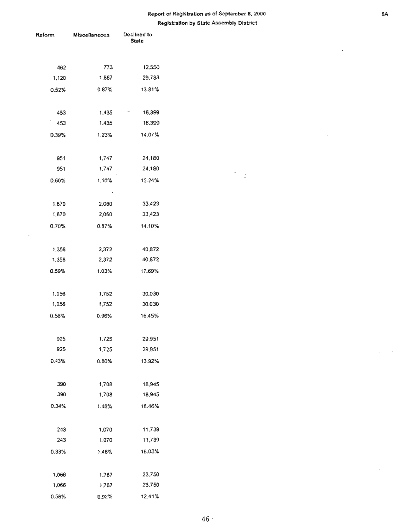$\epsilon$  $\langle \cdot \rangle$ 

| Reform    | Miscellaneous | Declined to<br><b>State</b> |  |
|-----------|---------------|-----------------------------|--|
| 462       | 773           | 12,550                      |  |
| 1,120     | 1,867         | 29,733                      |  |
| 0.52%     | 0.87%         | 13.81%                      |  |
| 453       | 1,435         | 16,399                      |  |
| ۰.<br>453 | 1,435         | 16,399                      |  |
| 0.39%     | 1.23%         | 14.07%                      |  |
| 951       | 1,747         | 24,180                      |  |
| 951       | 1,747         | 24,180                      |  |
| 0.60%     | 1.10%         | 15.24%                      |  |
| 1,670     | 2,060         | 33,423                      |  |
| 1,670     | 2,060         | 33,423                      |  |
| 0.70%     | 0.87%         | 14.10%                      |  |
| 1,356     | 2,372         | 40,872                      |  |
| 1,356     | 2,372         | 40,872                      |  |
| 0.59%     | 1.03%         | 17.69%                      |  |
| 1,056     | 1,752         | 30,030                      |  |
| 1,056     | 1,752         | 30,030                      |  |
| 0.58%     | 0.96%         | 16.45%                      |  |
| 925       | 1,725         | 29,951                      |  |
| 925       | 1.725         | 29,951                      |  |
| 0.43%     | $0.80\%$      | 13.92%                      |  |
| 390       | 1,708         | 18,945                      |  |
| 390       | 1,708         | 18,945                      |  |
| 0.34%     | 1.48%         | 16.46%                      |  |
| 243       | 1,070         | 11,739                      |  |
| 243       | 1,070         | 11,739                      |  |
| 0.33%     | 1.46%         | 16.03%                      |  |
| 1,066     | 1,767         | 23,750                      |  |
| 1,066     | 1,767         | 23,750                      |  |
| 0.56%     | 0.92%         | 12.41%                      |  |

 $\sim$ 

 $\cdot$ 

 $\overline{\phantom{a}}$ 

 $\sim$ 

 $\sim$ 

 $\sim$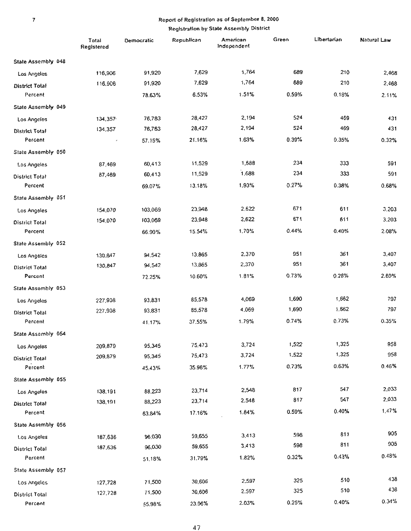|                       | Total<br>Registered | Democratic | Republican | American<br>Independent | Green | Libertarian | Natural Law |
|-----------------------|---------------------|------------|------------|-------------------------|-------|-------------|-------------|
| Stale Assembly 048    |                     |            |            |                         |       |             |             |
| Los Angeles           | 116,906             | 91,920     | 7,629      | 1,764                   | 689   | 210         | 2,468       |
| District Total        | 116,906             | 91,920     | 7,629      | 1,764                   | 689   | 210         | 2,468       |
| Percent               |                     | 78.63%     | 6.53%      | 1.51%                   | 0.59% | 0.18%       | 2.11%       |
| State Assembly 049    |                     |            |            |                         |       |             |             |
| Los Angeles           | 134,357             | 76,783     | 28,427     | 2,194                   | 524   | 469         | 431         |
| <b>District Total</b> | 134,357             | 76,783     | 28,427     | 2,194                   | 524   | 469         | 431         |
| Percent               | J                   | 57.15%     | 21.16%     | 1.63%                   | 0.39% | 0.35%       | 0.32%       |
| State Assembly 050    |                     |            |            |                         |       |             |             |
| <b>Los Angeles</b>    | 87,469              | 60,413     | 11,529     | 1,688                   | 234   | 333         | 591         |
| District Total        | 87,469              | 60,413     | 11,529     | 1,688                   | 234   | 333         | 591         |
| Percent               |                     | 69.07%     | 13,18%     | 1.93%                   | 0.27% | 0.38%       | 0.68%       |
| State Assembly 051    |                     |            |            |                         |       |             |             |
| Los Angeles           | 154,070             | 103,069    | 23,948     | 2,622                   | 671   | 611         | 3.203       |
| <b>District Total</b> | 154,070             | 103,069    | 23,948     | 2,622                   | 671   | 611         | 3,203       |
| Percent               |                     | 66.90%     | 15.54%     | 1.70%                   | 0.44% | 0.40%       | 2.08%       |
| State Assembly 052    |                     |            |            |                         |       |             |             |
| Los Angeles           | 130,847             | 94,542     | 13,865     | 2,370                   | 951   | 361         | 3,407       |
| District Total        | 130,847             | 94,542     | 13,865     | 2,370                   | 951   | 361         | 3,407       |
| Percent               |                     | 72.25%     | 10.60%     | 1.81%                   | 0.73% | 0.28%       | 2.60%       |
| State Assembly 053    |                     |            |            |                         |       |             |             |
| Los Angeles           | 227,908             | 93,831     | 85,578     | 4,069                   | 1,690 | 1,662       | 797         |
| District Total        | 227,908             | 93,831     | 85,578     | 4,069                   | 1,690 | 1,662       | 797         |
| Percent               |                     | 41.17%     | 37.55%     | 1.79%                   | 0.74% | 0.73%       | 0.35%       |
| State Assembly 054    |                     |            |            |                         |       |             |             |
| Los Angeles           | 209,879             | 95,345     | 75,473     | 3,724                   | 1,522 | 1,325       | 958         |
| <b>District Total</b> | 209,879             | 95,345     | 75,473     | 3,724                   | 1,522 | 1,325       | 958         |
| Percent               |                     | 45.43%     | 35.96%     | 1.77%                   | 0.73% | 0.63%       | 0.46%       |
| State Assembly 055    |                     |            |            |                         |       |             |             |
| Los Angeles           | 138,191             | 88,223     | 23,714     | 2,548                   | 817   | 547         | 2,033       |
| District Total        | 138,191             | 88,223     | 23,714     | 2,548                   | 817   | 547         | 2.033       |
| Percent               |                     | 63.84%     | 17.16%     | 1.84%                   | 0.59% | 0.40%       | 1.47%       |
| State Assembly 056    |                     |            |            |                         |       |             |             |
| Los Angeles           | 187,636             | 96,030     | 59,655     | 3,413                   | 598   | 811         | 905         |
| District Total        | 187,636             | 96,030     | 59,655     | 3,413                   | 598   | 811         | 905         |
| Percent               |                     | 51.18%     | 31.79%     | 1.82%                   | 0.32% | 0.43%       | 0.48%       |
| State Assembly 057    |                     |            |            |                         |       |             |             |
| Los Angeles           | 127,728             | 71,500     | 30,606     | 2,597                   | 325   | 510         | 438         |
| <b>District Total</b> | 127,728             | 71,500     | 30,606     | 2.597                   | 325   | 510         | 438         |
| Percent               |                     | 55.98%     | 23.96%     | 2.03%                   | 0.25% | 0.40%       | 0.34%       |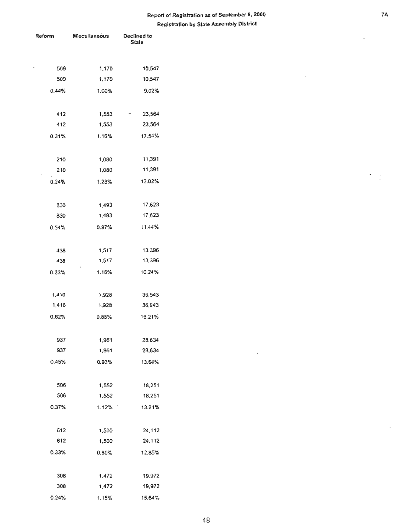| Reform | Miscellaneous | Declined to<br>State |  |  |
|--------|---------------|----------------------|--|--|
|        |               |                      |  |  |
| 509    | 1,170         | 10,547               |  |  |
| 509    | 1,170         | 10,547               |  |  |
| 0.44%  | 1.00%         | 9.02%                |  |  |
|        |               |                      |  |  |
| 412    | 1,553         | 23,564               |  |  |
| 412    | 1,553         | 23,564               |  |  |
| 0.31%  | 1.16%         | 17.54%               |  |  |
|        |               |                      |  |  |
| 210    | 1,080         | 11,391               |  |  |
| 210    | 1,080         | 11,391               |  |  |
| 0.24%  | 1.23%         | 13.02%               |  |  |
|        |               |                      |  |  |
| 830    | 1,493         | 17,623               |  |  |
| 830    | 1,493         | 17,623               |  |  |
| 0.54%  | 0.97%         | 11.44%               |  |  |
|        |               |                      |  |  |
| 438    | 1,517         | 13,396               |  |  |
| 438    | 1.517         | 13,396               |  |  |
| 0.33%  | 1.16%         | 10.24%               |  |  |
|        |               |                      |  |  |
| 1,410  | 1,928         | 36,943               |  |  |
| 1,410  | 1,928         | 36,943               |  |  |
| 0.62%  | 0.85%         | 16.21%               |  |  |
|        |               |                      |  |  |
| 937    | 1,961         | 28,634               |  |  |
| 937    | 1,961         | 28,634               |  |  |
| 0.45%  | 0.93%         | 13.64%               |  |  |
|        |               |                      |  |  |
| 506    | 1,552         | 18,251               |  |  |
| 506    | 1,552         | 18,251               |  |  |
| 0.37%  | 1.12%         | 13.21%               |  |  |
|        |               |                      |  |  |
| 612    | 1,500         | 24,112               |  |  |
| 612    | 1,500         | 24,112               |  |  |
| 0.33%  | 0.80%         | 12.85%               |  |  |
|        |               |                      |  |  |
| 308    | 1,472         | 19,972               |  |  |
| 308    | 1,472         | 19,972               |  |  |
| 0.24%  | 115%          | 15.64%               |  |  |

l,

 $\frac{1}{2}$ 

J,

 $\overline{\phantom{a}}$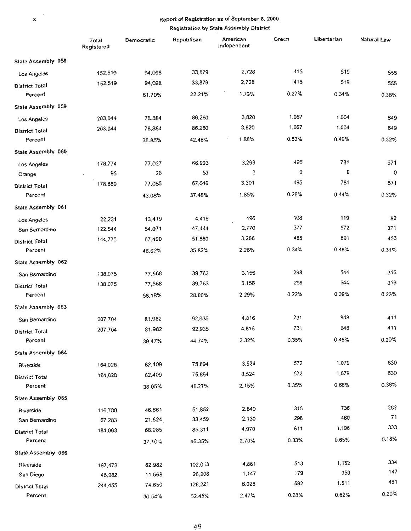|                       | Total<br>Registered | Democratic | Republican | American<br>Independent | Green | Libertarian | Natural Law |
|-----------------------|---------------------|------------|------------|-------------------------|-------|-------------|-------------|
| State Assembly 058    |                     |            |            |                         |       |             |             |
| Los Angeles           | 152,519             | 94,098     | 33,879     | 2,728                   | 415   | 519         | 555         |
| <b>District Total</b> | 152,519             | 94,098     | 33,879     | 2,728                   | 415   | 519         | 555         |
| Percent               |                     | 61.70%     | 22.21%     | 1.79%                   | 0.27% | 0.34%       | 0.36%       |
| State Assembly 059    |                     |            |            |                         |       |             |             |
| Los Angeles           | 203,044             | 78,884     | 86,260     | 3,820                   | 1,067 | 1,004       | 649         |
| <b>District Total</b> | 203,044             | 78,884     | 86,260     | 3,820                   | 1,067 | 1,004       | 649         |
| Percent               |                     | 38.85%     | 42.48%     | 1.88%                   | 0.53% | 0.49%       | 0.32%       |
| State Assembly 060    |                     |            |            |                         |       |             |             |
| Los Angeles           | 178,774             | 77,027     | 66,993     | 3,299                   | 495   | 781         | 571         |
| Orange                | 95                  | 28         | 53         | 2                       | 0     | 0           | $\circ$     |
| District Total        | 178,869             | 77,055     | 67,046     | 3,301                   | 495   | 781         | 571         |
| Percent               |                     | 43.08%     | 37.48%     | 1.85%                   | 0.28% | 0.44%       | 0.32%       |
| State Assembly 061    |                     |            |            |                         |       |             |             |
| Los Angeles           | 22,231              | 13,419     | 4,416      | 496                     | 108   | 119         | 82          |
| San Bemardino         | 122,544             | 54.071     | 47,444     | 2,770                   | 377   | 572         | 371         |
| <b>District Total</b> | 144,775             | 67,490     | 51,860     | 3,266                   | 485   | 691         | 453         |
| Percent               |                     | 46.62%     | 35.82%     | 2.26%                   | 0.34% | 0.48%       | 0.31%       |
| State Assembly 062    |                     |            |            |                         |       |             |             |
| San Bernardino        | 138,075             | 77,568     | 39,763     | 3,156                   | 298   | 544         | 316         |
| District Total        | 138,075             | 77,568     | 39,763     | 3,156                   | 298   | 544         | 316         |
| Percent               |                     | 56.18%     | 28.80%     | 2.29%                   | 0.22% | 0.39%       | 0.23%       |
| State Assembly 063    |                     |            |            |                         |       |             |             |
| San Bernardino        | 207,704             | 81,982     | 92,935     | 4,816                   | 731   | 948         | 411         |
| <b>District Total</b> | 207,704             | 81,982     | 92,935     | 4,816                   | 731   | 948         | 411         |
| Percent               |                     | 39.47%     | 44.74%     | 2.32%                   | 0.35% | 0.46%       | 0.20%       |
| State Assembly 064    |                     |            |            |                         |       |             |             |
| Riverside             | 164,028             | 62,409     | 75,894     | 3,524                   | 572   | 1.079       | 630         |
| District Total        | 164,028             | 62,409     | 75,894     | 3,524                   | 572   | 1,079       | 630         |
| Percent               |                     | 38.05%     | 46.27%     | 215%                    | 0.35% | 0.66%       | 0.38%       |
| State Assembly 065    |                     |            |            |                         |       |             |             |
| Riverside             | 116,780             | 46,661     | 51,852     | 2,840                   | 315   | 736         | 262         |
| San Bemardino         | 67,283              | 21,624     | 33,459     | 2,130                   | 296   | 460         | 71          |
| <b>District Total</b> | 184,063             | 68,285     | 85,311     | 4,970                   | 611   | 1,196       | 333         |
| Percent               |                     | 37.10%     | 46.35%     | 2.70%                   | 0.33% | 0.65%       | 0.18%       |
| State Assembly 066    |                     |            |            |                         |       |             |             |
| Riverside             | 197,473             | 62,982     | 102,013    | 4,881                   | 513   | 1,152       | 334         |
| San Diego             | 46,982              | 11,668     | 26,208     | 1,147                   | 179   | 359         | 147         |
| District Total        | 244,455             | 74,650     | 128,221    | 6,028                   | 692   | 1,511       | 481         |
| Percent               |                     | 30.54%     | 52.45%     | 2.47%                   | 0.28% | 0.62%       | 0.20%       |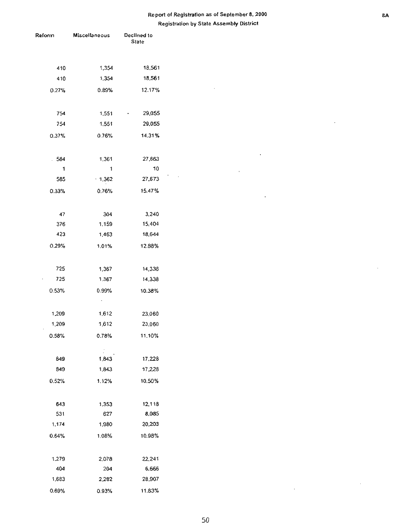$\overline{\phantom{a}}$ 

 $\bar{z}$ 

 $\bar{\mathcal{A}}$ 

 $\ddot{\phantom{0}}$ 

 $\bar{1}$ 

| Reform | Miscellaneous | Declined to<br><b>State</b> |
|--------|---------------|-----------------------------|
|        |               |                             |
| 410    | 1,354         | 18,561                      |
| 410    | 1,354         | 18,561                      |
| 0.27%  | 0.89%         | 12.17%                      |
| 754    | 1,551         | 29,055                      |
| 754    | 1,551         | 29,055                      |
| 0.37%  | 0.76%         | 14.31%                      |
| .584   | 1,361         | 27,663                      |
| 1      | 1             | 10                          |
| 585    | .1,362        | 27,673                      |
| 0.33%  | 0.76%         | 15.47%                      |
| 47     | 304           | 3,240                       |
| 376    | 1,159         | 15,404                      |
| 423    | 1,463         | 18,644                      |
| 0.29%  | 1.01%         | 12.88%                      |
| 725    | 1,367         | 14,338                      |
| 725    | 1,367         | 14,338                      |
| 0.53%  | 0.99%         | 10.38%                      |
|        | ٠             |                             |
| 1,209  | 1,612         | 23,060                      |
| 1,209  | 1,612         | 23,060                      |
| 0.58%  | 0.78%         | 11.10%                      |
| 849    | 1,843         | 17,228                      |
| 849    | 1,843         | 17,228                      |
| 0.52%  | 1.12%         | 10.50%                      |
| 643    | 1,353         | 12,118                      |
| 531    | 627           | 8,085                       |
| 1,174  | 1,980         | 20,203                      |
| 0.64%  | 1.08%         | 10.98%                      |
| 1,279  | 2,078         | 22,241                      |
| 404    | 204           | 6,666                       |
| 1,683  | 2,282         | 28,907                      |
| 0.69%  | 0.93%         | 11.83%                      |

 $\overline{a}$ 

 $\bar{z}$ 

 $\sim 10^{-1}$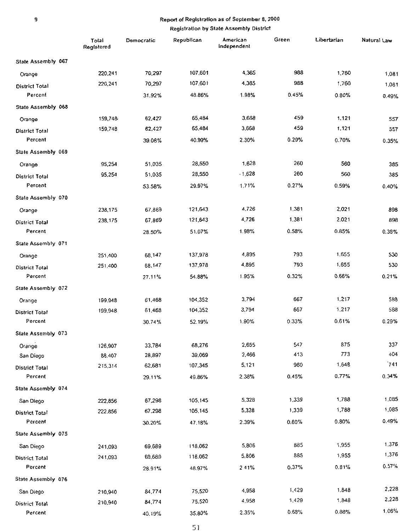|                       | Total<br>Registered | Democratic | Republican | American<br>Independent | Green | Libertarian | Natural Law |
|-----------------------|---------------------|------------|------------|-------------------------|-------|-------------|-------------|
| State Assembly 067    |                     |            |            |                         |       |             |             |
| Orange                | 220,241             | 70,297     | 107,601    | 4,365                   | 988   | 1,760       | 1,081       |
| <b>District Total</b> | 220,241             | 70,297     | 107,601    | 4,365                   | 988   | 1,760       | 1,081       |
| Percent               |                     | 31.92%     | 48.86%     | 1.98%                   | 0.45% | 0.80%       | 0.49%       |
| State Assembly 068    |                     |            |            |                         |       |             |             |
| Orange                | 159,748             | 62,427     | 65,484     | 3,668                   | 459   | 1,121       | 557         |
| <b>District Total</b> | 159,748             | 62,427     | 65,484     | 3,668                   | 459   | 1,121       | 557         |
| Percent               |                     | 39.08%     | 40.99%     | 2.30%                   | 0.29% | 0.70%       | 0.35%       |
| State Assembly 069    |                     |            |            |                         |       |             |             |
| Orange                | 95,254              | 51,035     | 28,550     | 1.628                   | 260   | 560         | 385         |
| District Total        | 95,254              | 51,035     | 28,550     | $-1,628$                | 260   | 560         | 385         |
| Percent               |                     | 53.58%     | 29.97%     | 1.71%                   | 0.27% | 0.59%       | 0.40%       |
| State Assembly 070    |                     |            |            |                         |       |             |             |
| Orange                | 238,175             | 67,869     | 121,643    | 4,726                   | 1,381 | 2.021       | 898         |
| District Total        | 238,175             | 67,869     | 121,643    | 4,726                   | 1,381 | 2.021       | 898         |
| Percent               |                     | 28.50%     | 51.07%     | 1.98%                   | 0.58% | 0.85%       | 0.38%       |
| State Assembly 071    |                     |            |            |                         |       |             |             |
| Orange                | 251,400             | 68,147     | 137,978    | 4,895                   | 793   | 1,655       | 530         |
| <b>District Total</b> | 251,400             | 68,147     | 137,978    | 4,895                   | 793   | 1.655       | 530         |
| Percent               |                     | 27.11%     | 54.88%     | 1.95%                   | 0.32% | 0.66%       | 0.21%       |
| State Assembly 072    |                     |            |            |                         |       |             |             |
| Orange                | 199,948             | 61,468     | 104,352    | 3,794                   | 667   | 1,217       | 588         |
| <b>District Total</b> | 199,948             | 61,468     | 104,352    | 3,794                   | 667   | 1,217       | 588         |
| Percent               |                     | 30.74%     | 52.19%     | 1,90%                   | 0.33% | 0.61%       | 0.29%       |
| State Assembly 073    |                     |            |            |                         |       |             |             |
| Orange                | 126,907             | 33,784     | 68,276     | 2,655                   | 547   | 875         | 337         |
| San Diego             | 88.407              | 28,897     | 39,069     | 2,466                   | 413   | 773         | 404         |
| District Total        | 215,314             | 62,681     | 107,345    | 5,121                   | 960   | 1,648       | 741         |
| Percent               |                     | 29.11%     | 49.86%     | 2.38%                   | 0.45% | 0.77%       | 0.34%       |
| State Assembly 074    |                     |            |            |                         |       |             |             |
| San Diego             | 222,856             | 67,298     | 105,145    | 5,328                   | 1,339 | 1,788       | 1.085       |
| District Total        | 222.856             | 67,298     | 105,145    | 5,328                   | 1,339 | 1,788       | 1,085       |
| Percent               |                     | 30.20%     | 47.18%     | 2.39%                   | 0.60% | 0.80%       | 0.49%       |
| State Assembly 075    |                     |            |            |                         |       |             |             |
| San Diego             | 241,093             | 69,689     | 118,062    | 5,806                   | 885   | 1,955       | 1.376       |
| District Total        | 241,093             | 69,689     | 118.062    | 5,806                   | 885   | 1,955       | 1,376       |
| Percent               |                     | 28.91%     | 48.97%     | 2 4 1%                  | 0.37% | 0.81%       | 0.57%       |
| State Assembly 076    |                     |            |            |                         |       |             |             |
| San Diego             | 210,940             | 84,774     | 75,520     | 4,958                   | 1,429 | 1.848       | 2,228       |
| District Total        | 210,940             | 84,774     | 75,520     | 4.958                   | 1,429 | 1,848       | 2,228       |
| Percent               |                     | 40.19%     | 35.80%     | 2.35%                   | 0.68% | 0.88%       | 1.06%       |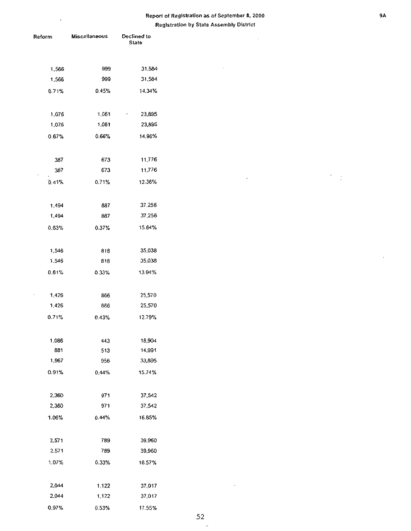**ReglstraUon by State Assembly District** 

 $\hat{\mathcal{E}}$ 

 $\sim$ 

 $\bar{\mathcal{A}}$ 

| Reform | <b>Miscellaneous</b> | Declined to<br>State |  |
|--------|----------------------|----------------------|--|
|        |                      |                      |  |
| 1,566  | 999                  | 31.584               |  |
| 1,566  | 999                  | 31,584               |  |
| 0.71%  | 0.45%                | 14.34%               |  |
| 1,076  | 1,061                | 23,895               |  |
| 1,076  | 1,061                | 23,895               |  |
| 0.67%  | 0.66%                | 14.96%               |  |
| 387    | 673                  | 11,776               |  |
| 387    | 673                  | 11,776               |  |
| 0.41%  | 0.71%                | 12.36%               |  |
| 1,494  | 887                  | 37.256               |  |
| 1,494  | 887                  | 37,256               |  |
| 0.63%  | 0.37%                | 15.64%               |  |
| 1,546  | 818                  | 35,038               |  |
| 1,546  | 818                  | 35,038               |  |
| 0.61%  | 0.33%                | 13.94%               |  |
| 1,426  | 865                  | 25,570               |  |
| 1,426  | 866                  | 25,570               |  |
| 0.71%  | 0.43%                | 12.79%               |  |
| 1,086  | 443                  | 18,904               |  |
| 881    | 513                  | 14,991               |  |
| 1,967  | 956                  | 33,895               |  |
| 0.91%  | 0.44%                | 15.74%               |  |
| 2,360  | 971                  | 37,542               |  |
| 2,360  | 971                  | 37,542               |  |
| 1.06%  | 0.44%                | 16.85%               |  |
| 2,571  | 789                  | 39,960               |  |
| 2.571  | 789                  | 39,960               |  |
| 1.07%  | 0.33%                | 16.57%               |  |
| 2,044  | 1,122                | 37,017               |  |
| 2,044  | 1,122                | 37,017               |  |
| 0.97%  | 0.53%                | 17.55%               |  |

ł,

 $\frac{1}{2}$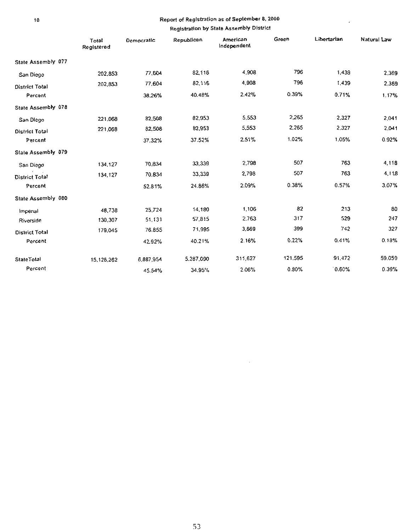$\bar{\phantom{a}}$ 

#### Registration by State Assembly District

|                       | Total<br>Registered | Democratic | Republican | American<br>Independent | Green   | Libertarian | Natural Law |
|-----------------------|---------------------|------------|------------|-------------------------|---------|-------------|-------------|
| State Assembly 077    |                     |            |            |                         |         |             |             |
| San Diego             | 202,853             | 77,604     | 82,116     | 4,908                   | 796     | 1,439       | 2,369       |
| <b>District Total</b> | 202,853             | 77,604     | 82,116     | 4,908                   | 796     | 1,439       | 2,369       |
| Percent               |                     | 38.26%     | 40.48%     | 2.42%                   | 0.39%   | 0.71%       | 1,17%       |
| State Assembly 078    |                     |            |            |                         |         |             |             |
| San Diego             | 221.068             | 82,508     | 82,953     | 5,553                   | 2,265   | 2,327       | 2,041       |
| <b>District Total</b> | 221,068             | 82,508     | 82,953     | 5,553                   | 2,265   | 2,327       | 2.041       |
| Percent               |                     | 37.32%     | 37.52%     | 2.51%                   | 1.02%   | 1.05%       | 0.92%       |
| State Assembly 079    |                     |            |            |                         |         |             |             |
| San Diego             | 134.127             | 70,834     | 33,339     | 2,798                   | 507     | 763         | 4,118       |
| <b>District Total</b> | 134,127             | 70.834     | 33,339     | 2,798                   | 507     | 763         | 4,118       |
| Percent               |                     | 52.81%     | 24.86%     | 2.09%                   | 0.38%   | 0.57%       | 3.07%       |
| State Assembly 080    |                     |            |            |                         |         |             |             |
| Imperial              | 48.738              | 25,724     | 14,180     | 1,106                   | 82      | 213         | 80          |
| Riverside             | 130,307             | 51,131     | 57,815     | 2.763                   | 317     | 529         | 247         |
| <b>District Total</b> | 179,045             | 76.855     | 71,995     | 3,869                   | 399     | 742         | 327         |
| Percent               |                     | 42.92%     | 40.21%     | 2.16%                   | 0.22%   | 0.41%       | 0.18%       |
| StateTotal            | 15,126,262          | 6,887,954  | 5.287,090  | 311,627                 | 121,595 | 91,472      | 59.059      |
| Percent               |                     | 45.54%     | 34.95%     | 2.06%                   | 0.80%   | 0.60%       | 0.39%       |

 $\mathcal{L}$